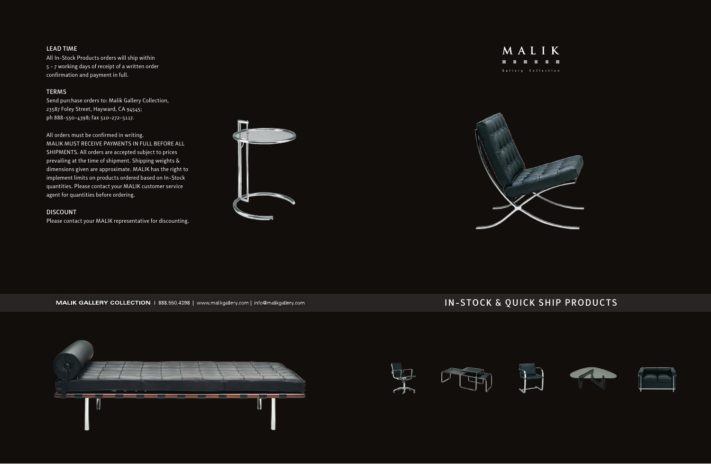# LEAD TIME

All In-Stock Products orders will ship within 5 - 7 working days of receipt of a written order confirmation and payment in full.

# TERMS

Send purchase orders to: Malik Gallery Collection, 23587 Foley Street, Hayward, CA 94545; ph 888-550-4398; fax 510-272-5117.

All orders must be confirmed in writing. MALIK MUST RECEIVE PAYMENTS IN FULL BEFORE ALL SHIPMENTS. All orders are accepted subject to prices prevailing at the time of shipment. Shipping weights & dimensions given are approximate. MALIK has the right to implement limits on products ordered based on In-Stock quantities. Please contact your MALIK customer service agent for quantities before ordering.

### DISCOUNT

Please contact your MALIK representative for discounting.





#### MALIK GALLERY COLLECTION | 888.550.4398 | www.malikgallery.com | info@malikgallery.com

# IN-STOCK & QUICK SHIP PRODUCTS